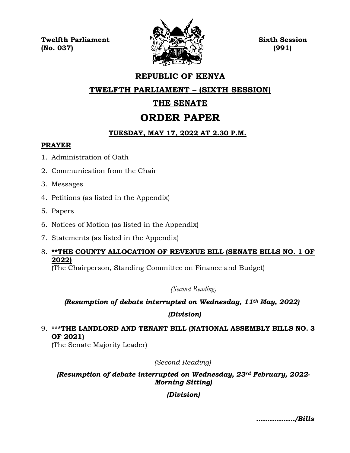**Twelfth Parliament Sixth Session**  $\mathbb{Q}$  (No. 037) (991)



# **REPUBLIC OF KENYA**

### **TWELFTH PARLIAMENT – (SIXTH SESSION)**

# **THE SENATE**

# **ORDER PAPER**

### **TUESDAY, MAY 17, 2022 AT 2.30 P.M.**

#### **PRAYER**

- 1. Administration of Oath
- 2. Communication from the Chair
- 3. Messages
- 4. Petitions (as listed in the Appendix)
- 5. Papers
- 6. Notices of Motion (as listed in the Appendix)
- 7. Statements (as listed in the Appendix)
- 8. **\*\*THE COUNTY ALLOCATION OF REVENUE BILL (SENATE BILLS NO. 1 OF 2022)**

(The Chairperson, Standing Committee on Finance and Budget)

*(Second Reading)*

# *(Resumption of debate interrupted on Wednesday, 11th May, 2022)*

*(Division)*

### 9. **\*\*\*THE LANDLORD AND TENANT BILL (NATIONAL ASSEMBLY BILLS NO. 3 OF 2021)**

(The Senate Majority Leader)

*(Second Reading)*

*(Resumption of debate interrupted on Wednesday, 23rd February, 2022- Morning Sitting)*

#### *(Division)*

*……………../Bills*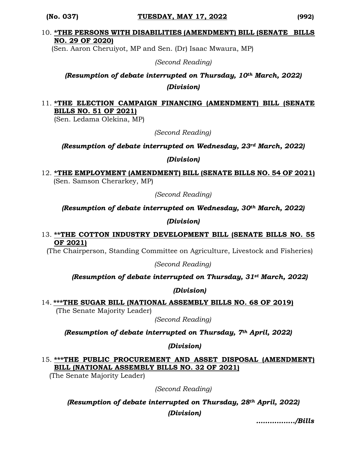#### 10. **\*THE PERSONS WITH DISABILITIES (AMENDMENT) BILL (SENATE BILLS NO. 29 OF 2020)**

(Sen. Aaron Cheruiyot, MP and Sen. (Dr) Isaac Mwaura, MP)

*(Second Reading)*

# *(Resumption of debate interrupted on Thursday, 10th March, 2022) (Division)*

#### 11. **\*THE ELECTION CAMPAIGN FINANCING (AMENDMENT) BILL (SENATE BILLS NO. 51 OF 2021)**

(Sen. Ledama Olekina, MP)

*(Second Reading)*

*(Resumption of debate interrupted on Wednesday, 23rd March, 2022)*

*(Division)*

12. **\*THE EMPLOYMENT (AMENDMENT) BILL (SENATE BILLS NO. 54 OF 2021)** (Sen. Samson Cherarkey, MP)

*(Second Reading)*

*(Resumption of debate interrupted on Wednesday, 30th March, 2022)* 

*(Division)*

#### 13. **\*\*THE COTTON INDUSTRY DEVELOPMENT BILL (SENATE BILLS NO. 55 OF 2021)**

(The Chairperson, Standing Committee on Agriculture, Livestock and Fisheries)

*(Second Reading)*

#### *(Resumption of debate interrupted on Thursday, 31st March, 2022)*

*(Division)*

14. **\*\*\*THE SUGAR BILL (NATIONAL ASSEMBLY BILLS NO. 68 OF 2019)**

(The Senate Majority Leader)

*(Second Reading)*

*(Resumption of debate interrupted on Thursday, 7th April, 2022)*

*(Division)*

15. **\*\*\*THE PUBLIC PROCUREMENT AND ASSET DISPOSAL (AMENDMENT) BILL (NATIONAL ASSEMBLY BILLS NO. 32 OF 2021)**

(The Senate Majority Leader)

*(Second Reading)*

*(Resumption of debate interrupted on Thursday, 28th April, 2022) (Division)*

*……………../Bills*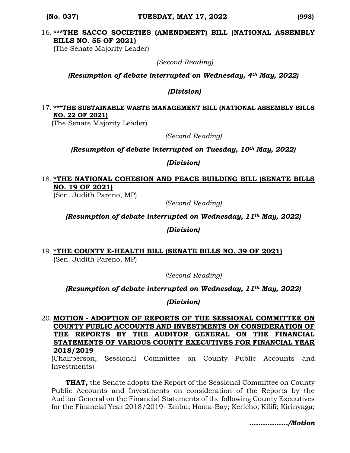#### 16. **\*\*\*THE SACCO SOCIETIES (AMENDMENT) BILL (NATIONAL ASSEMBLY BILLS NO. 55 OF 2021)**

(The Senate Majority Leader)

 *(Second Reading)*

#### *(Resumption of debate interrupted on Wednesday, 4th May, 2022)*

*(Division)*

#### 17. **\*\*\*THE SUSTAINABLE WASTE MANAGEMENT BILL (NATIONAL ASSEMBLY BILLS NO. 22 OF 2021)**

(The Senate Majority Leader)

*(Second Reading)*

#### *(Resumption of debate interrupted on Tuesday, 10th May, 2022)*

*(Division)*

#### 18. **\*THE NATIONAL COHESION AND PEACE BUILDING BILL (SENATE BILLS NO. 19 OF 2021)**

(Sen. Judith Pareno, MP)

*(Second Reading)*

*(Resumption of debate interrupted on Wednesday, 11th May, 2022)*

*(Division)*

#### 19. **\*THE COUNTY E-HEALTH BILL (SENATE BILLS NO. 39 OF 2021)**  (Sen. Judith Pareno, MP)

*(Second Reading)*

*(Resumption of debate interrupted on Wednesday, 11th May, 2022)*

*(Division)*

#### 20. **MOTION - ADOPTION OF REPORTS OF THE SESSIONAL COMMITTEE ON COUNTY PUBLIC ACCOUNTS AND INVESTMENTS ON CONSIDERATION OF THE REPORTS BY THE AUDITOR GENERAL ON THE FINANCIAL STATEMENTS OF VARIOUS COUNTY EXECUTIVES FOR FINANCIAL YEAR 2018/2019**

(Chairperson, Sessional Committee on County Public Accounts and Investments)

**THAT,** the Senate adopts the Report of the Sessional Committee on County Public Accounts and Investments on consideration of the Reports by the Auditor General on the Financial Statements of the following County Executives for the Financial Year 2018/2019- Embu; Homa-Bay; Kericho; Kilifi; Kirinyaga;

*……………../Motion*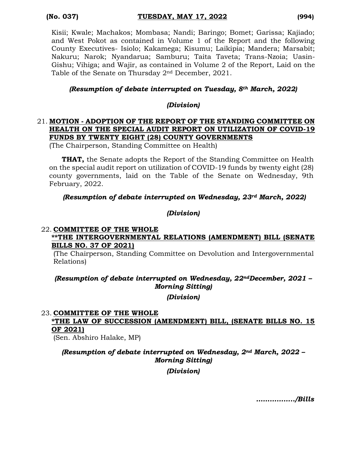Kisii; Kwale; Machakos; Mombasa; Nandi; Baringo; Bomet; Garissa; Kajiado; and West Pokot as contained in Volume 1 of the Report and the following County Executives- Isiolo; Kakamega; Kisumu; Laikipia; Mandera; Marsabit; Nakuru; Narok; Nyandarua; Samburu; Taita Taveta; Trans-Nzoia; Uasin-Gishu; Vihiga; and Wajir, as contained in Volume 2 of the Report, Laid on the Table of the Senate on Thursday 2nd December, 2021.

#### *(Resumption of debate interrupted on Tuesday, 8th March, 2022)*

#### *(Division)*

#### 21. **MOTION - ADOPTION OF THE REPORT OF THE STANDING COMMITTEE ON HEALTH ON THE SPECIAL AUDIT REPORT ON UTILIZATION OF COVID-19 FUNDS BY TWENTY EIGHT (28) COUNTY GOVERNMENTS**

(The Chairperson, Standing Committee on Health)

**THAT,** the Senate adopts the Report of the Standing Committee on Health on the special audit report on utilization of COVID-19 funds by twenty eight (28) county governments, laid on the Table of the Senate on Wednesday, 9th February, 2022.

#### *(Resumption of debate interrupted on Wednesday, 23rd March, 2022)*

#### *(Division)*

#### 22. **COMMITTEE OF THE WHOLE \*\*THE INTERGOVERNMENTAL RELATIONS (AMENDMENT) BILL (SENATE BILLS NO. 37 OF 2021)**

(The Chairperson, Standing Committee on Devolution and Intergovernmental Relations)

#### *(Resumption of debate interrupted on Wednesday, 22ndDecember, 2021 – Morning Sitting)*

#### *(Division)*

#### 23. **COMMITTEE OF THE WHOLE**

## **\*THE LAW OF SUCCESSION (AMENDMENT) BILL, (SENATE BILLS NO. 15 OF 2021)**

(Sen. Abshiro Halake, MP)

#### *(Resumption of debate interrupted on Wednesday, 2nd March, 2022 – Morning Sitting)*

*(Division)*

*……………../Bills*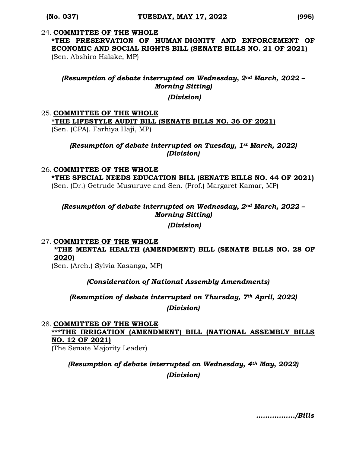# 24. **COMMITTEE OF THE WHOLE \*THE PRESERVATION OF HUMAN DIGNITY AND ENFORCEMENT OF ECONOMIC AND SOCIAL RIGHTS BILL (SENATE BILLS NO. 21 OF 2021)**

(Sen. Abshiro Halake, MP)

#### *(Resumption of debate interrupted on Wednesday, 2nd March, 2022 – Morning Sitting)*

*(Division)*

#### 25. **COMMITTEE OF THE WHOLE**

**\*THE LIFESTYLE AUDIT BILL (SENATE BILLS NO. 36 OF 2021)**  (Sen. (CPA). Farhiya Haji, MP)

#### *(Resumption of debate interrupted on Tuesday, 1st March, 2022) (Division)*

#### 26. **COMMITTEE OF THE WHOLE**

**\*THE SPECIAL NEEDS EDUCATION BILL (SENATE BILLS NO. 44 OF 2021)**  (Sen. (Dr.) Getrude Musuruve and Sen. (Prof.) Margaret Kamar, MP)

#### *(Resumption of debate interrupted on Wednesday, 2nd March, 2022 – Morning Sitting)*

*(Division)*

#### 27. **COMMITTEE OF THE WHOLE**

**\*THE MENTAL HEALTH (AMENDMENT) BILL (SENATE BILLS NO. 28 OF 2020)**

(Sen. (Arch.) Sylvia Kasanga, MP)

#### *(Consideration of National Assembly Amendments)*

*(Resumption of debate interrupted on Thursday, 7th April, 2022) (Division)*

#### 28. **COMMITTEE OF THE WHOLE**

#### **\*\*\*THE IRRIGATION (AMENDMENT) BILL (NATIONAL ASSEMBLY BILLS NO. 12 OF 2021)**

(The Senate Majority Leader)

# *(Resumption of debate interrupted on Wednesday, 4th May, 2022) (Division)*

*……………../Bills*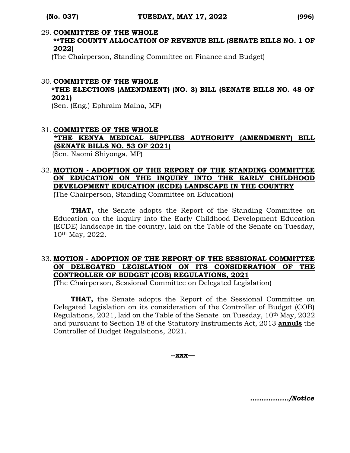# 29. **COMMITTEE OF THE WHOLE**

#### **\*\*THE COUNTY ALLOCATION OF REVENUE BILL (SENATE BILLS NO. 1 OF 2022)**

(The Chairperson, Standing Committee on Finance and Budget)

#### 30. **COMMITTEE OF THE WHOLE \*THE ELECTIONS (AMENDMENT) (NO. 3) BILL (SENATE BILLS NO. 48 OF 2021)**

(Sen. (Eng.) Ephraim Maina, MP)

#### 31. **COMMITTEE OF THE WHOLE \*THE KENYA MEDICAL SUPPLIES AUTHORITY (AMENDMENT) BILL (SENATE BILLS NO. 53 OF 2021)**  (Sen. Naomi Shiyonga, MP)

# 32. **MOTION - ADOPTION OF THE REPORT OF THE STANDING COMMITTEE ON EDUCATION ON THE INQUIRY INTO THE EARLY CHILDHOOD DEVELOPMENT EDUCATION (ECDE) LANDSCAPE IN THE COUNTRY**

(The Chairperson, Standing Committee on Education)

**THAT,** the Senate adopts the Report of the Standing Committee on Education on the inquiry into the Early Childhood Development Education (ECDE) landscape in the country, laid on the Table of the Senate on Tuesday, 10th May, 2022.

#### 33. **MOTION - ADOPTION OF THE REPORT OF THE SESSIONAL COMMITTEE ON DELEGATED LEGISLATION ON ITS CONSIDERATION OF THE CONTROLLER OF BUDGET (COB) REGULATIONS, 2021**

(The Chairperson, Sessional Committee on Delegated Legislation)

**THAT,** the Senate adopts the Report of the Sessional Committee on Delegated Legislation on its consideration of the Controller of Budget (COB) Regulations, 2021, laid on the Table of the Senate on Tuesday, 10<sup>th</sup> May, 2022 and pursuant to Section 18 of the Statutory Instruments Act, 2013 **annuls** the Controller of Budget Regulations, 2021.

**--xxx—**

*……………../Notice*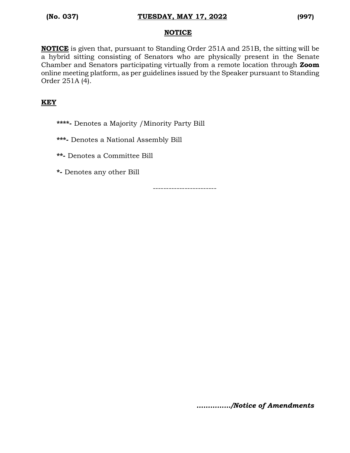#### **NOTICE**

**NOTICE** is given that, pursuant to Standing Order 251A and 251B, the sitting will be a hybrid sitting consisting of Senators who are physically present in the Senate Chamber and Senators participating virtually from a remote location through **Zoom** online meeting platform, as per guidelines issued by the Speaker pursuant to Standing Order 251A (4).

#### **KEY**

**\*\*\*\*-** Denotes a Majority /Minority Party Bill

**\*\*\*-** Denotes a National Assembly Bill

**\*\*-** Denotes a Committee Bill

**\*-** Denotes any other Bill

------------------------

*……………/Notice of Amendments*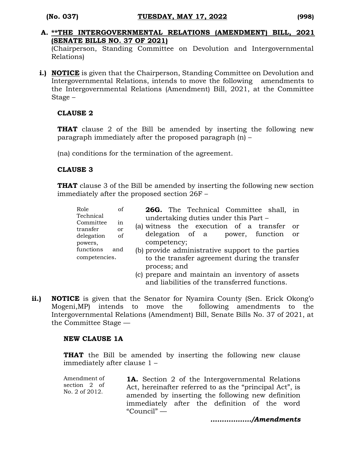**A. \*\*THE INTERGOVERNMENTAL RELATIONS (AMENDMENT) BILL, 2021 (SENATE BILLS NO. 37 OF 2021)**

(Chairperson, Standing Committee on Devolution and Intergovernmental Relations)

**i.) NOTICE** is given that the Chairperson, Standing Committee on Devolution and Intergovernmental Relations, intends to move the following amendments to the Intergovernmental Relations (Amendment) Bill, 2021, at the Committee Stage –

#### **CLAUSE 2**

**THAT** clause 2 of the Bill be amended by inserting the following new paragraph immediately after the proposed paragraph (n) –

(na) conditions for the termination of the agreement.

#### **CLAUSE 3**

**THAT** clause 3 of the Bill be amended by inserting the following new section immediately after the proposed section 26F –

| Role                  | of                                   | 26G. The Technical Committee shall, in                        |  |  |  |  |  |  |  |  |
|-----------------------|--------------------------------------|---------------------------------------------------------------|--|--|--|--|--|--|--|--|
| Technical             | undertaking duties under this Part – |                                                               |  |  |  |  |  |  |  |  |
| Committee<br>transfer | in<br><b>or</b>                      | (a) witness the execution of a transfer<br>- or               |  |  |  |  |  |  |  |  |
| delegation            | of                                   | delegation of a power, function or                            |  |  |  |  |  |  |  |  |
| powers,               |                                      | competency;                                                   |  |  |  |  |  |  |  |  |
| functions             | and                                  | (b) provide administrative support to the parties             |  |  |  |  |  |  |  |  |
| competencies.         |                                      | to the transfer agreement during the transfer<br>process; and |  |  |  |  |  |  |  |  |
|                       |                                      | (c) prepare and maintain an inventory of assets               |  |  |  |  |  |  |  |  |
|                       |                                      |                                                               |  |  |  |  |  |  |  |  |
|                       |                                      | and liabilities of the transferred functions.                 |  |  |  |  |  |  |  |  |

**ii.) NOTICE** is given that the Senator for Nyamira County (Sen. Erick Okong'o Mogeni,MP) intends to move the following amendments to the Intergovernmental Relations (Amendment) Bill, Senate Bills No. 37 of 2021, at the Committee Stage —

#### **NEW CLAUSE 1A**

**THAT** the Bill be amended by inserting the following new clause immediately after clause 1 –

Amendment of section 2 of No. 2 of 2012. **1A.** Section 2 of the Intergovernmental Relations Act, hereinafter referred to as the "principal Act", is amended by inserting the following new definition immediately after the definition of the word "Council" —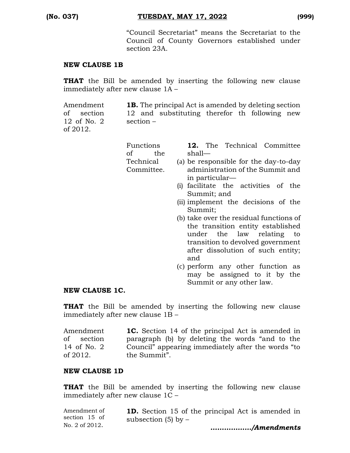"Council Secretariat" means the Secretariat to the Council of County Governors established under section 23A.

#### **NEW CLAUSE 1B**

**THAT** the Bill be amended by inserting the following new clause immediately after new clause 1A –

Amendment of section 12 of No. 2 of 2012. **1B.** The principal Act is amended by deleting section 12 and substituting therefor th following new section –

| Functions<br>of<br>the | shall—         |  | <b>12.</b> The Technical Committee    |  |  |
|------------------------|----------------|--|---------------------------------------|--|--|
| Technical              |                |  | (a) be responsible for the day-to-day |  |  |
| Committee.             |                |  | administration of the Summit and      |  |  |
|                        | in particular— |  |                                       |  |  |
|                        |                |  | (i) facilitate the activities of the  |  |  |
|                        | Summit; and    |  |                                       |  |  |
|                        |                |  | (ii) implement the decisions of the   |  |  |
|                        | Summit;        |  |                                       |  |  |

- (b) take over the residual functions of the transition entity established under the law relating to transition to devolved government after dissolution of such entity; and
- (c) perform any other function as may be assigned to it by the Summit or any other law.

#### **NEW CLAUSE 1C.**

**THAT** the Bill be amended by inserting the following new clause immediately after new clause 1B –

| Amendment   | <b>1C.</b> Section 14 of the principal Act is amended in |
|-------------|----------------------------------------------------------|
| of section  | paragraph (b) by deleting the words "and to the          |
| 14 of No. 2 | Council" appearing immediately after the words "to       |
| of 2012.    | the Summit".                                             |

#### **NEW CLAUSE 1D**

**THAT** the Bill be amended by inserting the following new clause immediately after new clause 1C –

| No. 2 of 2012. | /Amendments                                              |
|----------------|----------------------------------------------------------|
|                | subsection $(5)$ by $-$                                  |
| section 15 of  |                                                          |
| Amendment of   | <b>1D.</b> Section 15 of the principal Act is amended in |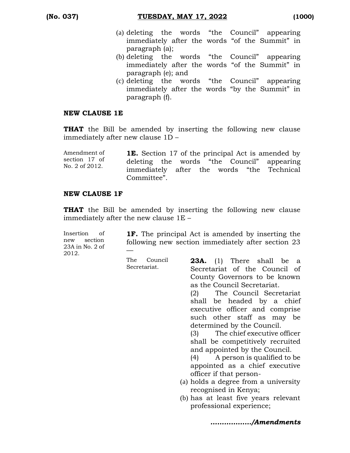- (a) deleting the words "the Council" appearing immediately after the words "of the Summit" in paragraph (a);
- (b) deleting the words "the Council" appearing immediately after the words "of the Summit" in paragraph (e); and
- (c) deleting the words "the Council" appearing immediately after the words "by the Summit" in paragraph (f).

#### **NEW CLAUSE 1E**

**THAT** the Bill be amended by inserting the following new clause immediately after new clause 1D –

| Amendment of   |             |  |  | <b>1E.</b> Section 17 of the principal Act is amended by |
|----------------|-------------|--|--|----------------------------------------------------------|
| section 17 of  |             |  |  | deleting the words "the Council" appearing               |
| No. 2 of 2012. | Committee". |  |  | immediately after the words "the Technical               |
|                |             |  |  |                                                          |

#### **NEW CLAUSE 1F**

**THAT** the Bill be amended by inserting the following new clause immediately after the new clause 1E –

| Insertion of<br>new section<br>23A in No. 2 of<br>2012. |                             | <b>1F.</b> The principal Act is amended by inserting the<br>following new section immediately after section 23 |
|---------------------------------------------------------|-----------------------------|----------------------------------------------------------------------------------------------------------------|
|                                                         | The Council<br>Secretariat. | <b>23A.</b> (1) There shall be a<br>Secretariat of the Council of                                              |

County Governors to be known

(2) The Council Secretariat shall be headed by a chief executive officer and comprise such other staff as may be

(3) The chief executive officer shall be competitively recruited and appointed by the Council. (4) A person is qualified to be appointed as a chief executive

(a) holds a degree from a university

(b) has at least five years relevant

as the Council Secretariat.

determined by the Council.

officer if that person-

recognised in Kenya;

professional experience;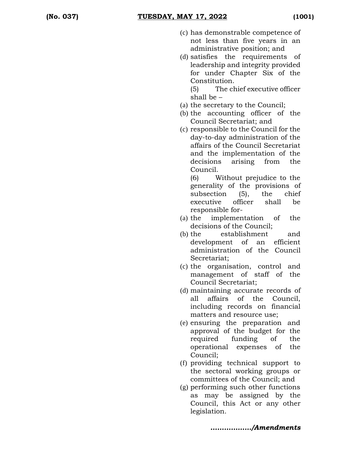- (c) has demonstrable competence of not less than five years in an administrative position; and
- (d) satisfies the requirements of leadership and integrity provided for under Chapter Six of the Constitution.

(5) The chief executive officer shall be –

- (a) the secretary to the Council;
- (b) the accounting officer of the Council Secretariat; and
- (c) responsible to the Council for the day-to-day administration of the affairs of the Council Secretariat and the implementation of the decisions arising from the Council.

(6) Without prejudice to the generality of the provisions of subsection (5), the chief executive officer shall be responsible for-

- (a) the implementation of the decisions of the Council;
- (b) the establishment and development of an efficient administration of the Council Secretariat;
- (c) the organisation, control and management of staff of the Council Secretariat;
- (d) maintaining accurate records of all affairs of the Council, including records on financial matters and resource use;
- (e) ensuring the preparation and approval of the budget for the required funding of the operational expenses of the Council;
- (f) providing technical support to the sectoral working groups or committees of the Council; and
- (g) performing such other functions as may be assigned by the Council, this Act or any other legislation.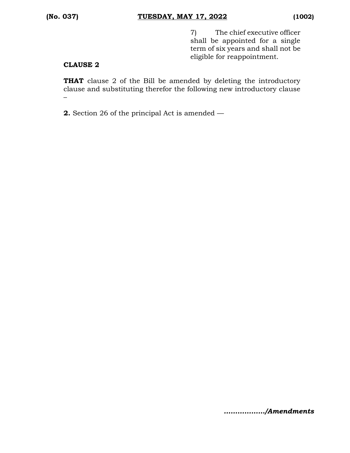7) The chief executive officer shall be appointed for a single term of six years and shall not be eligible for reappointment.

#### **CLAUSE 2**

**THAT** clause 2 of the Bill be amended by deleting the introductory clause and substituting therefor the following new introductory clause –

**2.** Section 26 of the principal Act is amended —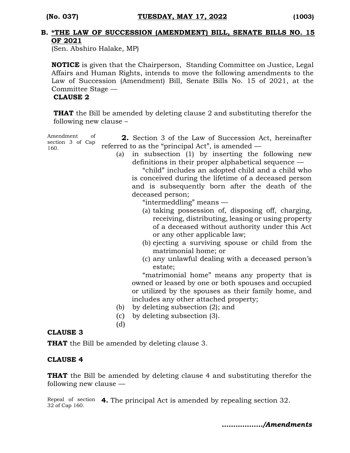#### **B. \*THE LAW OF SUCCESSION (AMENDMENT) BILL, SENATE BILLS NO. 15 OF 2021**

(Sen. Abshiro Halake, MP)

**NOTICE** is given that the Chairperson, Standing Committee on Justice, Legal Affairs and Human Rights, intends to move the following amendments to the Law of Succession (Amendment) Bill, Senate Bills No. 15 of 2021, at the Committee Stage —

#### **CLAUSE 2**

**THAT** the Bill be amended by deleting clause 2 and substituting therefor the following new clause –

Amendment of section 3 of Cap 160. **2.** Section 3 of the Law of Succession Act, hereinafter referred to as the "principal Act", is amended —

(a) in subsection (1) by inserting the following new definitions in their proper alphabetical sequence —

"child" includes an adopted child and a child who is conceived during the lifetime of a deceased person and is subsequently born after the death of the deceased person;

"intermeddling" means —

- (a) taking possession of, disposing off, charging, receiving, distributing, leasing or using property of a deceased without authority under this Act or any other applicable law;
- (b) ejecting a surviving spouse or child from the matrimonial home; or
- (c) any unlawful dealing with a deceased person's estate;

"matrimonial home" means any property that is owned or leased by one or both spouses and occupied or utilized by the spouses as their family home, and includes any other attached property;

- (b) by deleting subsection (2); and
- (c) by deleting subsection (3).
- (d)

#### **CLAUSE 3**

**THAT** the Bill be amended by deleting clause 3.

#### **CLAUSE 4**

**THAT** the Bill be amended by deleting clause 4 and substituting therefor the following new clause —

Repeal of section **4.** The principal Act is amended by repealing section 32. 32 of Cap 160.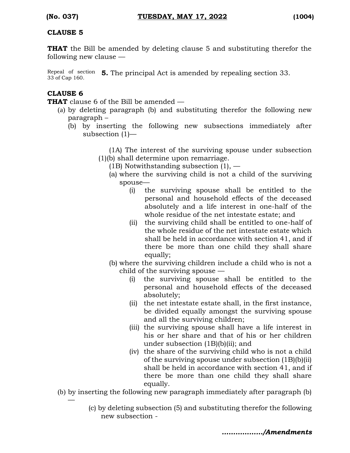#### **CLAUSE 5**

**THAT** the Bill be amended by deleting clause 5 and substituting therefor the following new clause —

Repeal of section **5.** The principal Act is amended by repealing section 33. 33 of Cap 160.

#### **CLAUSE 6**

—

**THAT** clause 6 of the Bill be amended —

- (a) by deleting paragraph (b) and substituting therefor the following new paragraph –
	- (b) by inserting the following new subsections immediately after subsection (1)—

(1A) The interest of the surviving spouse under subsection (1)(b) shall determine upon remarriage.

- (1B) Notwithstanding subsection  $(1)$ ,  $-$ 
	- (a) where the surviving child is not a child of the surviving spouse—
		- (i) the surviving spouse shall be entitled to the personal and household effects of the deceased absolutely and a life interest in one-half of the whole residue of the net intestate estate; and
		- (ii) the surviving child shall be entitled to one-half of the whole residue of the net intestate estate which shall be held in accordance with section 41, and if there be more than one child they shall share equally;
	- (b) where the surviving children include a child who is not a child of the surviving spouse —
		- (i) the surviving spouse shall be entitled to the personal and household effects of the deceased absolutely;
		- (ii) the net intestate estate shall, in the first instance, be divided equally amongst the surviving spouse and all the surviving children;
		- (iii) the surviving spouse shall have a life interest in his or her share and that of his or her children under subsection (1B)(b)(ii); and
		- (iv) the share of the surviving child who is not a child of the surviving spouse under subsection (1B)(b)(ii) shall be held in accordance with section 41, and if there be more than one child they shall share equally.
- (b) by inserting the following new paragraph immediately after paragraph (b)
	- (c) by deleting subsection (5) and substituting therefor the following new subsection -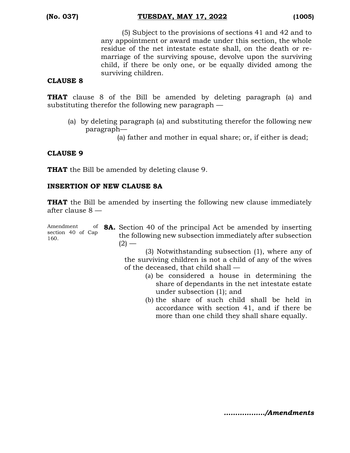(5) Subject to the provisions of sections 41 and 42 and to any appointment or award made under this section, the whole residue of the net intestate estate shall, on the death or remarriage of the surviving spouse, devolve upon the surviving child, if there be only one, or be equally divided among the surviving children.

#### **CLAUSE 8**

**THAT** clause 8 of the Bill be amended by deleting paragraph (a) and substituting therefor the following new paragraph —

- (a) by deleting paragraph (a) and substituting therefor the following new paragraph—
	- (a) father and mother in equal share; or, if either is dead;

#### **CLAUSE 9**

**THAT** the Bill be amended by deleting clause 9.

#### **INSERTION OF NEW CLAUSE 8A**

**THAT** the Bill be amended by inserting the following new clause immediately after clause 8 —

Amendment section 40 of Cap 160.

**8A.** Section 40 of the principal Act be amended by inserting the following new subsection immediately after subsection  $(2)$  —

> (3) Notwithstanding subsection (1), where any of the surviving children is not a child of any of the wives of the deceased, that child shall —

- (a) be considered a house in determining the share of dependants in the net intestate estate under subsection (1); and
- (b) the share of such child shall be held in accordance with section 41, and if there be more than one child they shall share equally.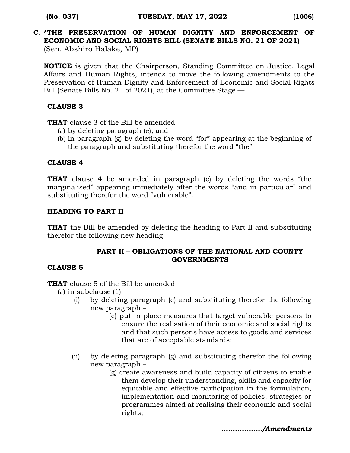# **C. \*THE PRESERVATION OF HUMAN DIGNITY AND ENFORCEMENT OF ECONOMIC AND SOCIAL RIGHTS BILL (SENATE BILLS NO. 21 OF 2021)**

(Sen. Abshiro Halake, MP)

**NOTICE** is given that the Chairperson, Standing Committee on Justice, Legal Affairs and Human Rights, intends to move the following amendments to the Preservation of Human Dignity and Enforcement of Economic and Social Rights Bill (Senate Bills No. 21 of 2021), at the Committee Stage —

#### **CLAUSE 3**

**THAT** clause 3 of the Bill be amended –

- (a) by deleting paragraph (e); and
- (b) in paragraph (g) by deleting the word "for" appearing at the beginning of the paragraph and substituting therefor the word "the".

#### **CLAUSE 4**

**THAT** clause 4 be amended in paragraph (c) by deleting the words "the marginalised" appearing immediately after the words "and in particular" and substituting therefor the word "vulnerable".

#### **HEADING TO PART II**

**THAT** the Bill be amended by deleting the heading to Part II and substituting therefor the following new heading –

#### **PART II – OBLIGATIONS OF THE NATIONAL AND COUNTY GOVERNMENTS**

#### **CLAUSE 5**

**THAT** clause 5 of the Bill be amended –

- (a) in subclause  $(1)$ 
	- (i) by deleting paragraph (e) and substituting therefor the following new paragraph –
		- (e) put in place measures that target vulnerable persons to ensure the realisation of their economic and social rights and that such persons have access to goods and services that are of acceptable standards;
	- (ii) by deleting paragraph (g) and substituting therefor the following new paragraph –
		- (g) create awareness and build capacity of citizens to enable them develop their understanding, skills and capacity for equitable and effective participation in the formulation, implementation and monitoring of policies, strategies or programmes aimed at realising their economic and social rights;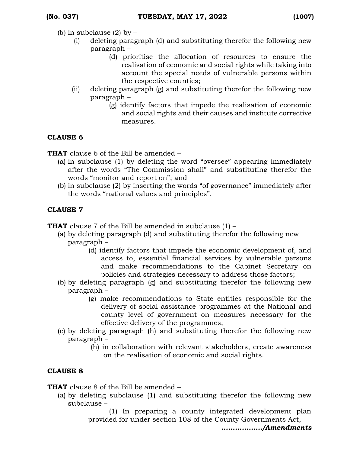- (b) in subclause  $(2)$  by  $-$ 
	- (i) deleting paragraph (d) and substituting therefor the following new paragraph –
		- (d) prioritise the allocation of resources to ensure the realisation of economic and social rights while taking into account the special needs of vulnerable persons within the respective counties;
	- (ii) deleting paragraph (g) and substituting therefor the following new paragraph –
		- (g) identify factors that impede the realisation of economic and social rights and their causes and institute corrective measures.

#### **CLAUSE 6**

**THAT** clause 6 of the Bill be amended –

- (a) in subclause (1) by deleting the word "oversee" appearing immediately after the words "The Commission shall" and substituting therefor the words "monitor and report on"; and
- (b) in subclause (2) by inserting the words "of governance" immediately after the words "national values and principles".

#### **CLAUSE 7**

**THAT** clause 7 of the Bill be amended in subclause (1) –

- (a) by deleting paragraph (d) and substituting therefor the following new paragraph –
	- (d) identify factors that impede the economic development of, and access to, essential financial services by vulnerable persons and make recommendations to the Cabinet Secretary on policies and strategies necessary to address those factors;
- (b) by deleting paragraph (g) and substituting therefor the following new paragraph –
	- (g) make recommendations to State entities responsible for the delivery of social assistance programmes at the National and county level of government on measures necessary for the effective delivery of the programmes;
- (c) by deleting paragraph (h) and substituting therefor the following new paragraph –
	- (h) in collaboration with relevant stakeholders, create awareness on the realisation of economic and social rights.

#### **CLAUSE 8**

**THAT** clause 8 of the Bill be amended –

(a) by deleting subclause (1) and substituting therefor the following new subclause –

(1) In preparing a county integrated development plan provided for under section 108 of the County Governments Act,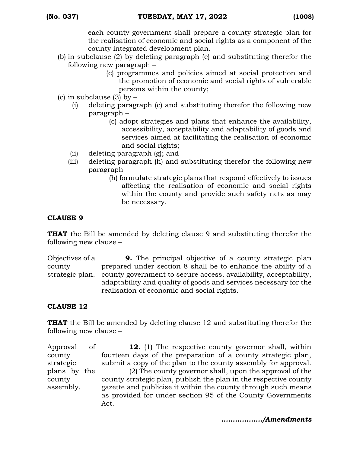each county government shall prepare a county strategic plan for the realisation of economic and social rights as a component of the county integrated development plan.

- (b) in subclause (2) by deleting paragraph (c) and substituting therefor the following new paragraph –
	- (c) programmes and policies aimed at social protection and the promotion of economic and social rights of vulnerable persons within the county;
- (c) in subclause  $(3)$  by  $-$ 
	- (i) deleting paragraph (c) and substituting therefor the following new paragraph –
		- (c) adopt strategies and plans that enhance the availability, accessibility, acceptability and adaptability of goods and services aimed at facilitating the realisation of economic and social rights;
	- (ii) deleting paragraph (g); and
	- (iii) deleting paragraph (h) and substituting therefor the following new paragraph –
		- (h) formulate strategic plans that respond effectively to issues affecting the realisation of economic and social rights within the county and provide such safety nets as may be necessary.

### **CLAUSE 9**

**THAT** the Bill be amended by deleting clause 9 and substituting therefor the following new clause –

Objectives of a county strategic plan. **9.** The principal objective of a county strategic plan prepared under section 8 shall be to enhance the ability of a county government to secure access, availability, acceptability, adaptability and quality of goods and services necessary for the realisation of economic and social rights.

### **CLAUSE 12**

**THAT** the Bill be amended by deleting clause 12 and substituting therefor the following new clause –

Approval of county strategic plans by the county assembly. **12.** (1) The respective county governor shall, within fourteen days of the preparation of a county strategic plan, submit a copy of the plan to the county assembly for approval. (2) The county governor shall, upon the approval of the county strategic plan, publish the plan in the respective county gazette and publicise it within the county through such means as provided for under section 95 of the County Governments Act.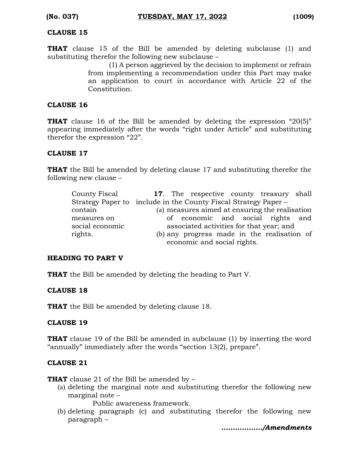#### **CLAUSE 15**

**THAT** clause 15 of the Bill be amended by deleting subclause (1) and substituting therefor the following new subclause –

(1) A person aggrieved by the decision to implement or refrain from implementing a recommendation under this Part may make an application to court in accordance with Article 22 of the Constitution.

#### **CLAUSE 16**

**THAT** clause 16 of the Bill be amended by deleting the expression "20(5)" appearing immediately after the words "right under Article" and substituting therefor the expression "22".

#### **CLAUSE 17**

**THAT** the Bill be amended by deleting clause 17 and substituting therefor the following new clause –

| County Fiscal   | <b>17.</b> The respective county treasury shall                 |  |  |  |  |  |  |  |
|-----------------|-----------------------------------------------------------------|--|--|--|--|--|--|--|
|                 | Strategy Paper to include in the County Fiscal Strategy Paper – |  |  |  |  |  |  |  |
| contain         | (a) measures aimed at ensuring the realisation                  |  |  |  |  |  |  |  |
| measures on     | of economic and social rights and                               |  |  |  |  |  |  |  |
| social economic | associated activities for that year; and                        |  |  |  |  |  |  |  |
| rights.         | (b) any progress made in the realisation of                     |  |  |  |  |  |  |  |
|                 | economic and social rights.                                     |  |  |  |  |  |  |  |

#### **HEADING TO PART V**

**THAT** the Bill be amended by deleting the heading to Part V.

#### **CLAUSE 18**

**THAT** the Bill be amended by deleting clause 18.

#### **CLAUSE 19**

**THAT** clause 19 of the Bill be amended in subclause (1) by inserting the word "annually" immediately after the words "section 13(2), prepare".

#### **CLAUSE 21**

**THAT** clause 21 of the Bill be amended by –

(a) deleting the marginal note and substituting therefor the following new marginal note –

Public awareness framework.

(b) deleting paragraph (c) and substituting therefor the following new paragraph –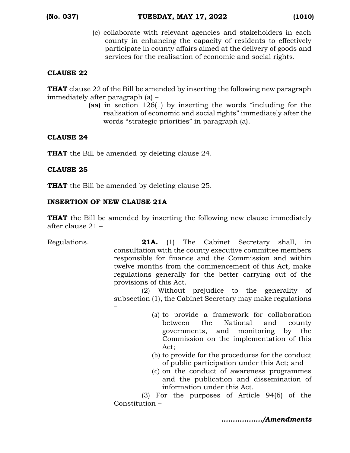(c) collaborate with relevant agencies and stakeholders in each county in enhancing the capacity of residents to effectively participate in county affairs aimed at the delivery of goods and services for the realisation of economic and social rights.

#### **CLAUSE 22**

**THAT** clause 22 of the Bill be amended by inserting the following new paragraph immediately after paragraph (a) –

(aa) in section 126(1) by inserting the words "including for the realisation of economic and social rights" immediately after the words "strategic priorities" in paragraph (a).

#### **CLAUSE 24**

**THAT** the Bill be amended by deleting clause 24.

#### **CLAUSE 25**

**THAT** the Bill be amended by deleting clause 25.

#### **INSERTION OF NEW CLAUSE 21A**

**THAT** the Bill be amended by inserting the following new clause immediately after clause 21 –

Regulations. **21A.** (1) The Cabinet Secretary shall, in consultation with the county executive committee members responsible for finance and the Commission and within twelve months from the commencement of this Act, make regulations generally for the better carrying out of the provisions of this Act.

(2) Without prejudice to the generality of subsection (1), the Cabinet Secretary may make regulations –

- (a) to provide a framework for collaboration between the National and county governments, and monitoring by the Commission on the implementation of this Act;
- (b) to provide for the procedures for the conduct of public participation under this Act; and
- (c) on the conduct of awareness programmes and the publication and dissemination of information under this Act.

(3) For the purposes of Article 94(6) of the Constitution –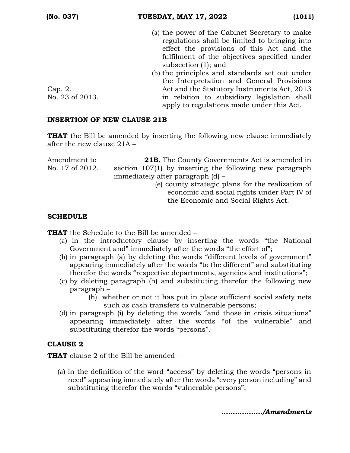- (a) the power of the Cabinet Secretary to make regulations shall be limited to bringing into effect the provisions of this Act and the fulfilment of the objectives specified under subsection (1); and
- (b) the principles and standards set out under the Interpretation and General Provisions Act and the Statutory Instruments Act, 2013 in relation to subsidiary legislation shall apply to regulations made under this Act.

Cap. 2. No. 23 of 2013.

#### **INSERTION OF NEW CLAUSE 21B**

**THAT** the Bill be amended by inserting the following new clause immediately after the new clause 21A –

| Amendment to    | <b>21B.</b> The County Governments Act is amended in    |
|-----------------|---------------------------------------------------------|
| No. 17 of 2012. | section 107(1) by inserting the following new paragraph |
|                 | immediately after paragraph $(d)$ –                     |
|                 | (e) county strategic plans for the realization of       |
|                 | economic and social rights under Part IV of             |
|                 | the Economic and Social Rights Act.                     |

#### **SCHEDULE**

**THAT** the Schedule to the Bill be amended –

- (a) in the introductory clause by inserting the words "the National Government and" immediately after the words "the effort of";
- (b) in paragraph (a) by deleting the words "different levels of government" appearing immediately after the words "to the different" and substituting therefor the words "respective departments, agencies and institutions";
- (c) by deleting paragraph (h) and substituting therefor the following new paragraph –
	- (h) whether or not it has put in place sufficient social safety nets such as cash transfers to vulnerable persons;
- (d) in paragraph (i) by deleting the words "and those in crisis situations" appearing immediately after the words "of the vulnerable" and substituting therefor the words "persons".

#### **CLAUSE 2**

**THAT** clause 2 of the Bill be amended –

(a) in the definition of the word "access" by deleting the words "persons in need" appearing immediately after the words "every person including" and substituting therefor the words "vulnerable persons";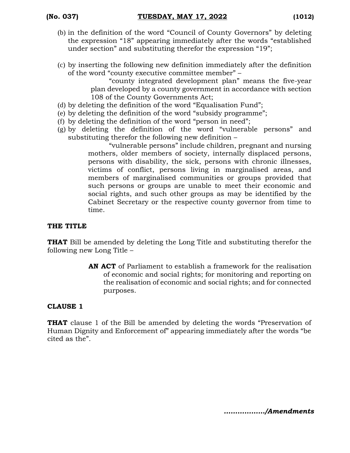- (b) in the definition of the word "Council of County Governors" by deleting the expression "18" appearing immediately after the words "established under section" and substituting therefor the expression "19";
- (c) by inserting the following new definition immediately after the definition of the word "county executive committee member" –

"county integrated development plan" means the five-year plan developed by a county government in accordance with section 108 of the County Governments Act;

- (d) by deleting the definition of the word "Equalisation Fund";
- (e) by deleting the definition of the word "subsidy programme";
- (f) by deleting the definition of the word "person in need";
- (g) by deleting the definition of the word "vulnerable persons" and substituting therefor the following new definition –

"vulnerable persons" include children, pregnant and nursing mothers, older members of society, internally displaced persons, persons with disability, the sick, persons with chronic illnesses, victims of conflict, persons living in marginalised areas, and members of marginalised communities or groups provided that such persons or groups are unable to meet their economic and social rights, and such other groups as may be identified by the Cabinet Secretary or the respective county governor from time to time.

#### **THE TITLE**

**THAT** Bill be amended by deleting the Long Title and substituting therefor the following new Long Title –

> **AN ACT** of Parliament to establish a framework for the realisation of economic and social rights; for monitoring and reporting on the realisation of economic and social rights; and for connected purposes.

#### **CLAUSE 1**

**THAT** clause 1 of the Bill be amended by deleting the words "Preservation of Human Dignity and Enforcement of" appearing immediately after the words "be cited as the".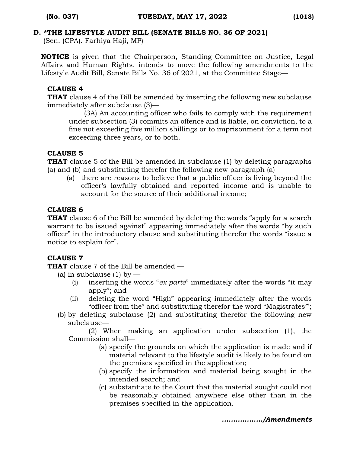#### **D. \*THE LIFESTYLE AUDIT BILL (SENATE BILLS NO. 36 OF 2021)**

(Sen. (CPA). Farhiya Haji, MP)

**NOTICE** is given that the Chairperson, Standing Committee on Justice, Legal Affairs and Human Rights, intends to move the following amendments to the Lifestyle Audit Bill, Senate Bills No. 36 of 2021, at the Committee Stage—

#### **CLAUSE 4**

**THAT** clause 4 of the Bill be amended by inserting the following new subclause immediately after subclause (3)—

(3A) An accounting officer who fails to comply with the requirement under subsection (3) commits an offence and is liable, on conviction, to a fine not exceeding five million shillings or to imprisonment for a term not exceeding three years, or to both.

#### **CLAUSE 5**

**THAT** clause 5 of the Bill be amended in subclause (1) by deleting paragraphs (a) and (b) and substituting therefor the following new paragraph  $(a)$ —

(a) there are reasons to believe that a public officer is living beyond the officer's lawfully obtained and reported income and is unable to account for the source of their additional income;

#### **CLAUSE 6**

**THAT** clause 6 of the Bill be amended by deleting the words "apply for a search" warrant to be issued against" appearing immediately after the words "by such officer" in the introductory clause and substituting therefor the words "issue a notice to explain for".

#### **CLAUSE 7**

**THAT** clause 7 of the Bill be amended —

(a) in subclause  $(1)$  by  $-$ 

- (i) inserting the words "*ex parte*" immediately after the words "it may apply"; and
- (ii) deleting the word "High" appearing immediately after the words "officer from the" and substituting therefor the word "Magistrates'";
- (b) by deleting subclause (2) and substituting therefor the following new subclause—

(2) When making an application under subsection (1), the Commission shall—

- (a) specify the grounds on which the application is made and if material relevant to the lifestyle audit is likely to be found on the premises specified in the application;
- (b) specify the information and material being sought in the intended search; and
- (c) substantiate to the Court that the material sought could not be reasonably obtained anywhere else other than in the premises specified in the application.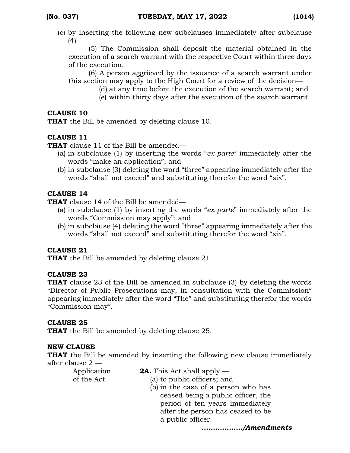(c) by inserting the following new subclauses immediately after subclause  $(4)$ —

(5) The Commission shall deposit the material obtained in the execution of a search warrant with the respective Court within three days of the execution.

(6) A person aggrieved by the issuance of a search warrant under this section may apply to the High Court for a review of the decision—

- (d) at any time before the execution of the search warrant; and
- (e) within thirty days after the execution of the search warrant.

#### **CLAUSE 10**

**THAT** the Bill be amended by deleting clause 10.

#### **CLAUSE 11**

**THAT** clause 11 of the Bill be amended—

- (a) in subclause (1) by inserting the words "*ex parte*" immediately after the words "make an application"; and
- (b) in subclause (3) deleting the word "three" appearing immediately after the words "shall not exceed" and substituting therefor the word "six".

#### **CLAUSE 14**

**THAT** clause 14 of the Bill be amended—

- (a) in subclause (1) by inserting the words "*ex parte*" immediately after the words "Commission may apply"; and
- (b) in subclause (4) deleting the word "three" appearing immediately after the words "shall not exceed" and substituting therefor the word "six".

#### **CLAUSE 21**

**THAT** the Bill be amended by deleting clause 21.

#### **CLAUSE 23**

**THAT** clause 23 of the Bill be amended in subclause (3) by deleting the words "Director of Public Prosecutions may, in consultation with the Commission" appearing immediately after the word "The" and substituting therefor the words "Commission may".

#### **CLAUSE 25**

**THAT** the Bill be amended by deleting clause 25.

#### **NEW CLAUSE**

**THAT** the Bill be amended by inserting the following new clause immediately after clause 2 —

Application of the Act.

- **2A.** This Act shall apply —
- (a) to public officers; and
	- (b) in the case of a person who has ceased being a public officer, the period of ten years immediately after the person has ceased to be a public officer.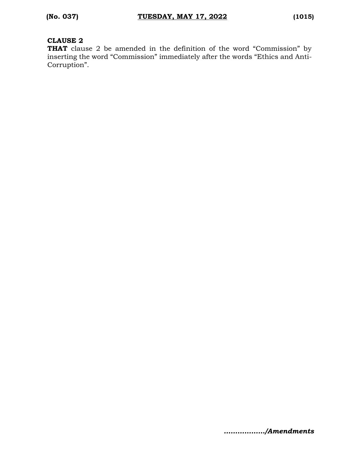#### **CLAUSE 2**

**THAT** clause 2 be amended in the definition of the word "Commission" by inserting the word "Commission" immediately after the words "Ethics and Anti-Corruption".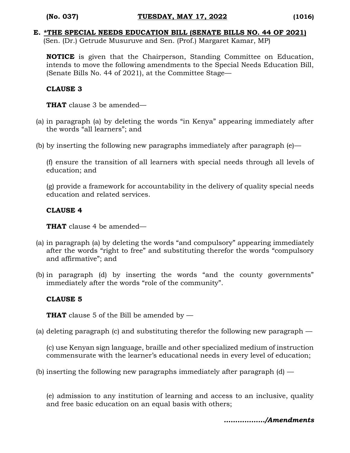#### **E. \*THE SPECIAL NEEDS EDUCATION BILL (SENATE BILLS NO. 44 OF 2021)**

(Sen. (Dr.) Getrude Musuruve and Sen. (Prof.) Margaret Kamar, MP)

**NOTICE** is given that the Chairperson, Standing Committee on Education, intends to move the following amendments to the Special Needs Education Bill, (Senate Bills No. 44 of 2021), at the Committee Stage—

#### **CLAUSE 3**

**THAT** clause 3 be amended—

- (a) in paragraph (a) by deleting the words "in Kenya" appearing immediately after the words "all learners"; and
- (b) by inserting the following new paragraphs immediately after paragraph  $(e)$ —

(f) ensure the transition of all learners with special needs through all levels of education; and

(g) provide a framework for accountability in the delivery of quality special needs education and related services.

#### **CLAUSE 4**

**THAT** clause 4 be amended—

- (a) in paragraph (a) by deleting the words "and compulsory" appearing immediately after the words "right to free" and substituting therefor the words "compulsory and affirmative"; and
- (b) in paragraph (d) by inserting the words "and the county governments" immediately after the words "role of the community".

#### **CLAUSE 5**

**THAT** clause 5 of the Bill be amended by —

(a) deleting paragraph (c) and substituting therefor the following new paragraph —

(c) use Kenyan sign language, braille and other specialized medium of instruction commensurate with the learner's educational needs in every level of education;

(b) inserting the following new paragraphs immediately after paragraph  $(d)$  —

(e) admission to any institution of learning and access to an inclusive, quality and free basic education on an equal basis with others;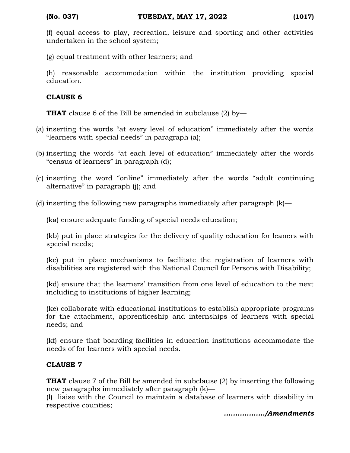(f) equal access to play, recreation, leisure and sporting and other activities undertaken in the school system;

(g) equal treatment with other learners; and

(h) reasonable accommodation within the institution providing special education.

#### **CLAUSE 6**

**THAT** clause 6 of the Bill be amended in subclause (2) by-

- (a) inserting the words "at every level of education" immediately after the words "learners with special needs" in paragraph (a);
- (b) inserting the words "at each level of education" immediately after the words "census of learners" in paragraph (d);
- (c) inserting the word "online" immediately after the words "adult continuing alternative" in paragraph (j); and
- (d) inserting the following new paragraphs immediately after paragraph (k)—

(ka) ensure adequate funding of special needs education;

(kb) put in place strategies for the delivery of quality education for leaners with special needs;

(kc) put in place mechanisms to facilitate the registration of learners with disabilities are registered with the National Council for Persons with Disability;

(kd) ensure that the learners' transition from one level of education to the next including to institutions of higher learning;

(ke) collaborate with educational institutions to establish appropriate programs for the attachment, apprenticeship and internships of learners with special needs; and

(kf) ensure that boarding facilities in education institutions accommodate the needs of for learners with special needs.

### **CLAUSE 7**

**THAT** clause 7 of the Bill be amended in subclause (2) by inserting the following new paragraphs immediately after paragraph (k)—

(l) liaise with the Council to maintain a database of learners with disability in respective counties;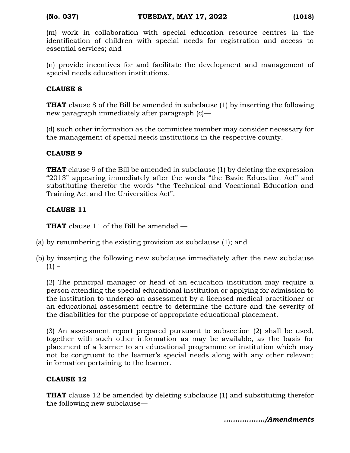(m) work in collaboration with special education resource centres in the identification of children with special needs for registration and access to essential services; and

(n) provide incentives for and facilitate the development and management of special needs education institutions.

#### **CLAUSE 8**

**THAT** clause 8 of the Bill be amended in subclause (1) by inserting the following new paragraph immediately after paragraph (c)—

(d) such other information as the committee member may consider necessary for the management of special needs institutions in the respective county.

#### **CLAUSE 9**

**THAT** clause 9 of the Bill be amended in subclause (1) by deleting the expression "2013" appearing immediately after the words "the Basic Education Act" and substituting therefor the words "the Technical and Vocational Education and Training Act and the Universities Act".

#### **CLAUSE 11**

**THAT** clause 11 of the Bill be amended —

- (a) by renumbering the existing provision as subclause (1); and
- (b) by inserting the following new subclause immediately after the new subclause  $(1) -$

(2) The principal manager or head of an education institution may require a person attending the special educational institution or applying for admission to the institution to undergo an assessment by a licensed medical practitioner or an educational assessment centre to determine the nature and the severity of the disabilities for the purpose of appropriate educational placement.

(3) An assessment report prepared pursuant to subsection (2) shall be used, together with such other information as may be available, as the basis for placement of a learner to an educational programme or institution which may not be congruent to the learner's special needs along with any other relevant information pertaining to the learner.

#### **CLAUSE 12**

**THAT** clause 12 be amended by deleting subclause (1) and substituting therefor the following new subclause—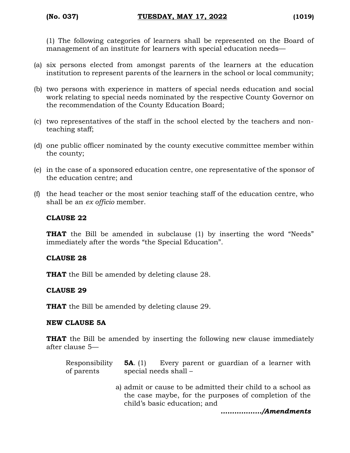(1) The following categories of learners shall be represented on the Board of management of an institute for learners with special education needs—

- (a) six persons elected from amongst parents of the learners at the education institution to represent parents of the learners in the school or local community;
- (b) two persons with experience in matters of special needs education and social work relating to special needs nominated by the respective County Governor on the recommendation of the County Education Board;
- (c) two representatives of the staff in the school elected by the teachers and nonteaching staff;
- (d) one public officer nominated by the county executive committee member within the county;
- (e) in the case of a sponsored education centre, one representative of the sponsor of the education centre; and
- (f) the head teacher or the most senior teaching staff of the education centre, who shall be an *ex officio* member.

#### **CLAUSE 22**

**THAT** the Bill be amended in subclause (1) by inserting the word "Needs" immediately after the words "the Special Education".

#### **CLAUSE 28**

**THAT** the Bill be amended by deleting clause 28.

#### **CLAUSE 29**

**THAT** the Bill be amended by deleting clause 29.

#### **NEW CLAUSE 5A**

**THAT** the Bill be amended by inserting the following new clause immediately after clause 5—

| Responsibility $5A$ . (1) Every parent or guardian of a learner with |                       |  |  |  |  |
|----------------------------------------------------------------------|-----------------------|--|--|--|--|
| of parents                                                           | special needs shall – |  |  |  |  |

a) admit or cause to be admitted their child to a school as the case maybe, for the purposes of completion of the child's basic education; and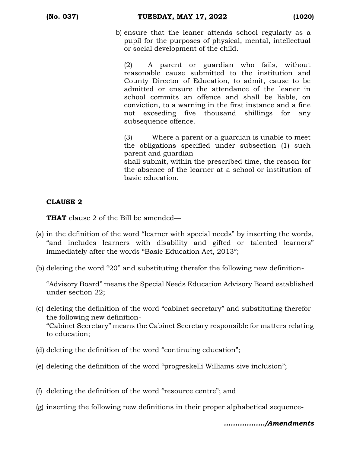(b) ensure that the leaner attends school regularly as a pupil for the purposes of physical, mental, intellectual or social development of the child.

(2) A parent or guardian who fails, without reasonable cause submitted to the institution and County Director of Education, to admit, cause to be admitted or ensure the attendance of the leaner in school commits an offence and shall be liable, on conviction, to a warning in the first instance and a fine not exceeding five thousand shillings for any subsequence offence.

(3) Where a parent or a guardian is unable to meet the obligations specified under subsection (1) such parent and guardian

shall submit, within the prescribed time, the reason for the absence of the learner at a school or institution of basic education.

#### **CLAUSE 2**

**THAT** clause 2 of the Bill be amended—

- (a) in the definition of the word "learner with special needs" by inserting the words, "and includes learners with disability and gifted or talented learners" immediately after the words "Basic Education Act, 2013";
- (b) deleting the word "20" and substituting therefor the following new definition-

"Advisory Board" means the Special Needs Education Advisory Board established under section 22;

- (c) deleting the definition of the word "cabinet secretary" and substituting therefor the following new definition- "Cabinet Secretary" means the Cabinet Secretary responsible for matters relating to education;
- (d) deleting the definition of the word "continuing education";
- (e) deleting the definition of the word "progreskelli Williams sive inclusion";
- (f) deleting the definition of the word "resource centre"; and
- (g) inserting the following new definitions in their proper alphabetical sequence-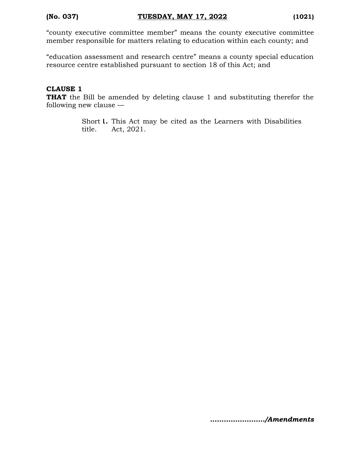"county executive committee member" means the county executive committee member responsible for matters relating to education within each county; and

"education assessment and research centre" means a county special education resource centre established pursuant to section 18 of this Act; and

#### **CLAUSE 1**

**THAT** the Bill be amended by deleting clause 1 and substituting therefor the following new clause —

> Short **1.** This Act may be cited as the Learners with Disabilities title. Act, 2021.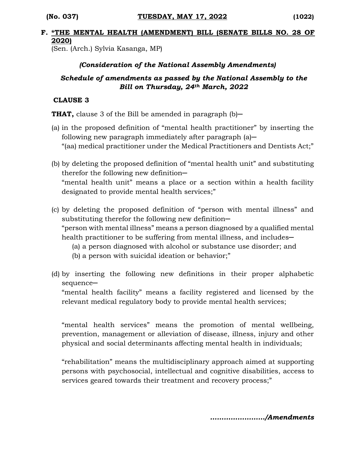#### **F. \*THE MENTAL HEALTH (AMENDMENT) BILL (SENATE BILLS NO. 28 OF 2020)**

(Sen. (Arch.) Sylvia Kasanga, MP)

#### *(Consideration of the National Assembly Amendments)*

#### *Schedule of amendments as passed by the National Assembly to the Bill on Thursday, 24th March, 2022*

#### **CLAUSE 3**

**THAT,** clause 3 of the Bill be amended in paragraph (b)—

- (a) in the proposed definition of "mental health practitioner" by inserting the following new paragraph immediately after paragraph  $(a)$ — "(aa) medical practitioner under the Medical Practitioners and Dentists Act;"
- (b) by deleting the proposed definition of "mental health unit" and substituting therefor the following new definition-"mental health unit" means a place or a section within a health facility designated to provide mental health services;"
- (c) by deleting the proposed definition of "person with mental illness" and substituting therefor the following new definition-"person with mental illness" means a person diagnosed by a qualified mental health practitioner to be suffering from mental illness, and includes—
	- (a) a person diagnosed with alcohol or substance use disorder; and
	- (b) a person with suicidal ideation or behavior;"
- (d) by inserting the following new definitions in their proper alphabetic sequence-

"mental health facility" means a facility registered and licensed by the relevant medical regulatory body to provide mental health services;

"mental health services" means the promotion of mental wellbeing, prevention, management or alleviation of disease, illness, injury and other physical and social determinants affecting mental health in individuals;

"rehabilitation" means the multidisciplinary approach aimed at supporting persons with psychosocial, intellectual and cognitive disabilities, access to services geared towards their treatment and recovery process;"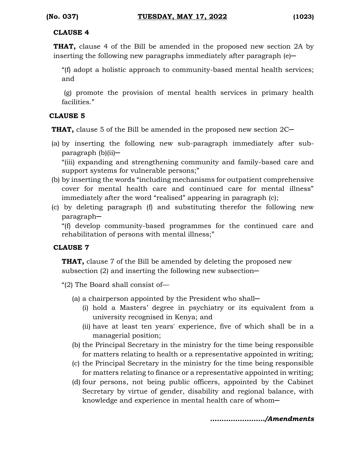#### **CLAUSE 4**

**THAT,** clause 4 of the Bill be amended in the proposed new section 2A by inserting the following new paragraphs immediately after paragraph  $(e)$ —

"(f) adopt a holistic approach to community-based mental health services; and

(g) promote the provision of mental health services in primary health facilities."

#### **CLAUSE 5**

**THAT,** clause 5 of the Bill be amended in the proposed new section 2C

(a) by inserting the following new sub-paragraph immediately after subparagraph (b)(ii)─

"(iii) expanding and strengthening community and family-based care and support systems for vulnerable persons;"

- (b) by inserting the words "including mechanisms for outpatient comprehensive cover for mental health care and continued care for mental illness" immediately after the word "realised" appearing in paragraph (c);
- (c) by deleting paragraph (f) and substituting therefor the following new paragraph─

"(f) develop community-based programmes for the continued care and rehabilitation of persons with mental illness;"

#### **CLAUSE 7**

**THAT,** clause 7 of the Bill be amended by deleting the proposed new subsection  $(2)$  and inserting the following new subsection-

"(2) The Board shall consist of—

- (a) a chairperson appointed by the President who shall─
	- (i) hold a Masters' degree in psychiatry or its equivalent from a university recognised in Kenya; and
	- (ii) have at least ten years' experience, five of which shall be in a managerial position;
- (b) the Principal Secretary in the ministry for the time being responsible for matters relating to health or a representative appointed in writing;
- (c) the Principal Secretary in the ministry for the time being responsible for matters relating to finance or a representative appointed in writing;
- (d) four persons, not being public officers, appointed by the Cabinet Secretary by virtue of gender, disability and regional balance, with knowledge and experience in mental health care of whom—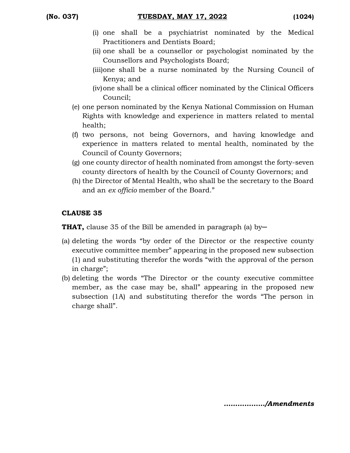- (i) one shall be a psychiatrist nominated by the Medical Practitioners and Dentists Board;
- (ii) one shall be a counsellor or psychologist nominated by the Counsellors and Psychologists Board;
- (iii)one shall be a nurse nominated by the Nursing Council of Kenya; and
- (iv)one shall be a clinical officer nominated by the Clinical Officers Council;
- (e) one person nominated by the Kenya National Commission on Human Rights with knowledge and experience in matters related to mental health;
- (f) two persons, not being Governors, and having knowledge and experience in matters related to mental health, nominated by the Council of County Governors;
- (g) one county director of health nominated from amongst the forty-seven county directors of health by the Council of County Governors; and
- (h) the Director of Mental Health, who shall be the secretary to the Board and an *ex officio* member of the Board."

### **CLAUSE 35**

**THAT,** clause 35 of the Bill be amended in paragraph (a) by-

- (a) deleting the words "by order of the Director or the respective county executive committee member" appearing in the proposed new subsection (1) and substituting therefor the words "with the approval of the person in charge";
- (b) deleting the words "The Director or the county executive committee member, as the case may be, shall" appearing in the proposed new subsection (1A) and substituting therefor the words "The person in charge shall".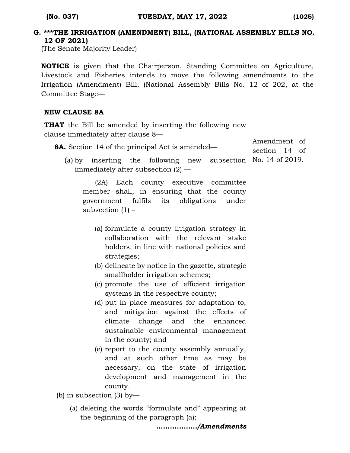Amendment of

#### **G. \*\*\*THE IRRIGATION (AMENDMENT) BILL, (NATIONAL ASSEMBLY BILLS NO. 12 OF 2021)**

(The Senate Majority Leader)

**NOTICE** is given that the Chairperson, Standing Committee on Agriculture, Livestock and Fisheries intends to move the following amendments to the Irrigation (Amendment) Bill, (National Assembly Bills No. 12 of 202, at the Committee Stage—

#### **NEW CLAUSE 8A**

**THAT** the Bill be amended by inserting the following new clause immediately after clause 8—

| <b>8A.</b> Section 14 of the principal Act is amended—                                                                                               | , ,,,,,,,,,,,,,,,,,,<br>section 14 of |
|------------------------------------------------------------------------------------------------------------------------------------------------------|---------------------------------------|
| (a) by inserting the following new subsection No. $14$ of 2019.<br>immediately after subsection $(2)$ —                                              |                                       |
| (2A) Each county executive committee<br>member shall, in ensuring that the county<br>government fulfils its obligations under<br>subsection $(1)$ –  |                                       |
| (a) formulate a county irrigation strategy in<br>collaboration with the relevant stake<br>holders, in line with national policies and<br>strategies; |                                       |
| (b) delineate by notice in the gazette, strategic<br>smallholder irrigation schemes;                                                                 |                                       |
| (c) promote the use of efficient irrigation<br>systems in the respective county;                                                                     |                                       |
| (d) put in place measures for adaptation to,<br>and milimetian aminut the effects of                                                                 |                                       |

- and mitigation against the effects of climate change and the enhanced sustainable environmental management in the county; and
- (e) report to the county assembly annually, and at such other time as may be necessary, on the state of irrigation development and management in the county.

(b) in subsection (3) by—

(a) deleting the words "formulate and" appearing at the beginning of the paragraph (a);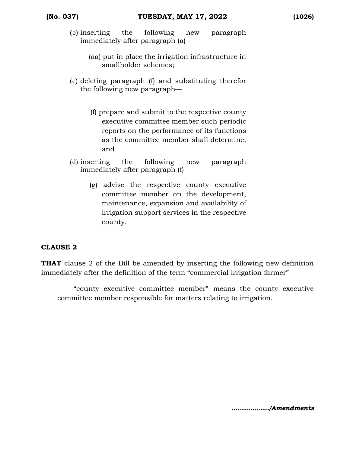- (b) inserting the following new paragraph immediately after paragraph (a) –
	- (aa) put in place the irrigation infrastructure in smallholder schemes;
- (c) deleting paragraph (f) and substituting therefor the following new paragraph—
	- (f) prepare and submit to the respective county executive committee member such periodic reports on the performance of its functions as the committee member shall determine; and
- (d) inserting the following new paragraph immediately after paragraph (f)—
	- (g) advise the respective county executive committee member on the development, maintenance, expansion and availability of irrigation support services in the respective county.

#### **CLAUSE 2**

**THAT** clause 2 of the Bill be amended by inserting the following new definition immediately after the definition of the term "commercial irrigation farmer" —

"county executive committee member" means the county executive committee member responsible for matters relating to irrigation.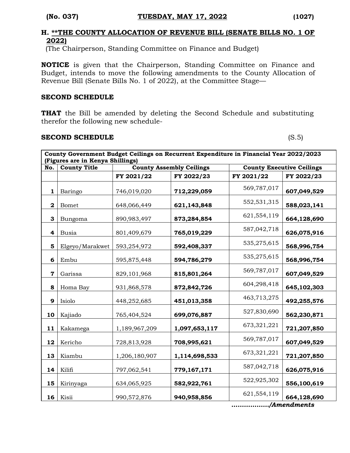#### **H. \*\*THE COUNTY ALLOCATION OF REVENUE BILL (SENATE BILLS NO. 1 OF 2022)**

(The Chairperson, Standing Committee on Finance and Budget)

**NOTICE** is given that the Chairperson, Standing Committee on Finance and Budget, intends to move the following amendments to the County Allocation of Revenue Bill (Senate Bills No. 1 of 2022), at the Committee Stage—

#### **SECOND SCHEDULE**

**THAT** the Bill be amended by deleting the Second Schedule and substituting therefor the following new schedule-

#### **SECOND SCHEDULE** (S.5)

| County Government Budget Ceilings on Recurrent Expenditure in Financial Year 2022/2023<br>(Figures are in Kenya Shillings) |                     |               |                                 |             |                                  |  |  |  |
|----------------------------------------------------------------------------------------------------------------------------|---------------------|---------------|---------------------------------|-------------|----------------------------------|--|--|--|
| No.                                                                                                                        | <b>County Title</b> |               | <b>County Assembly Ceilings</b> |             | <b>County Executive Ceilings</b> |  |  |  |
|                                                                                                                            |                     | FY 2021/22    | FY 2022/23                      | FY 2021/22  | FY 2022/23                       |  |  |  |
| $\mathbf{1}$                                                                                                               | Baringo             | 746,019,020   | 712,229,059                     | 569,787,017 | 607,049,529                      |  |  |  |
| $\mathbf{2}$                                                                                                               | Bomet               | 648,066,449   | 621,143,848                     | 552,531,315 | 588,023,141                      |  |  |  |
| 3                                                                                                                          | Bungoma             | 890,983,497   | 873,284,854                     | 621,554,119 | 664,128,690                      |  |  |  |
| 4                                                                                                                          | <b>Busia</b>        | 801,409,679   | 765,019,229                     | 587,042,718 | 626,075,916                      |  |  |  |
| 5                                                                                                                          | Elgeyo/Marakwet     | 593,254,972   | 592,408,337                     | 535,275,615 | 568,996,754                      |  |  |  |
| 6                                                                                                                          | Embu                | 595,875,448   | 594,786,279                     | 535,275,615 | 568,996,754                      |  |  |  |
| $\mathbf 7$                                                                                                                | Garissa             | 829,101,968   | 815,801,264                     | 569,787,017 | 607,049,529                      |  |  |  |
| 8                                                                                                                          | Homa Bay            | 931,868,578   | 872,842,726                     | 604,298,418 | 645,102,303                      |  |  |  |
| 9                                                                                                                          | Isiolo              | 448,252,685   | 451,013,358                     | 463,713,275 | 492,255,576                      |  |  |  |
| 10                                                                                                                         | Kajiado             | 765,404,524   | 699,076,887                     | 527,830,690 | 562,230,871                      |  |  |  |
| 11                                                                                                                         | Kakamega            | 1,189,967,209 | 1,097,653,117                   | 673,321,221 | 721,207,850                      |  |  |  |
| 12                                                                                                                         | Kericho             | 728,813,928   | 708,995,621                     | 569,787,017 | 607,049,529                      |  |  |  |
| 13                                                                                                                         | Kiambu              | 1,206,180,907 | 1,114,698,533                   | 673,321,221 | 721,207,850                      |  |  |  |
| 14                                                                                                                         | Kilifi              | 797,062,541   | 779,167,171                     | 587,042,718 | 626,075,916                      |  |  |  |
| 15                                                                                                                         | Kirinyaga           | 634,065,925   | 582,922,761                     | 522,925,302 | 556,100,619                      |  |  |  |
| 16                                                                                                                         | Kisii               | 990,572,876   | 940,958,856                     | 621,554,119 | 664,128,690                      |  |  |  |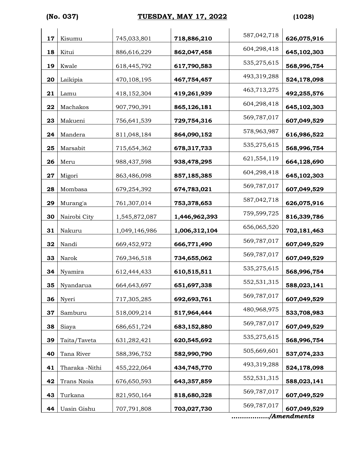# **(No. 037) TUESDAY, MAY 17, 2022 (1028)**

| 17 | Kisumu         | 745,033,801   | 718,886,210   | 587,042,718 | 626,075,916 |
|----|----------------|---------------|---------------|-------------|-------------|
| 18 | Kitui          | 886,616,229   | 862,047,458   | 604,298,418 | 645,102,303 |
| 19 | Kwale          | 618,445,792   | 617,790,583   | 535,275,615 | 568,996,754 |
| 20 | Laikipia       | 470,108,195   | 467,754,457   | 493,319,288 | 524,178,098 |
| 21 | Lamu           | 418,152,304   | 419,261,939   | 463,713,275 | 492,255,576 |
| 22 | Machakos       | 907,790,391   | 865,126,181   | 604,298,418 | 645,102,303 |
| 23 | Makueni        | 756,641,539   | 729,754,316   | 569,787,017 | 607,049,529 |
| 24 | Mandera        | 811,048,184   | 864,090,152   | 578,963,987 | 616,986,522 |
| 25 | Marsabit       | 715,654,362   | 678,317,733   | 535,275,615 | 568,996,754 |
| 26 | Meru           | 988, 437, 598 | 938,478,295   | 621,554,119 | 664,128,690 |
| 27 | Migori         | 863,486,098   | 857,185,385   | 604,298,418 | 645,102,303 |
| 28 | Mombasa        | 679,254,392   | 674,783,021   | 569,787,017 | 607,049,529 |
| 29 | Murang'a       | 761,307,014   | 753,378,653   | 587,042,718 | 626,075,916 |
| 30 | Nairobi City   | 1,545,872,087 | 1,446,962,393 | 759,599,725 | 816,339,786 |
| 31 | Nakuru         | 1,049,146,986 | 1,006,312,104 | 656,065,520 | 702,181,463 |
| 32 | Nandi          | 669,452,972   | 666,771,490   | 569,787,017 | 607,049,529 |
| 33 | Narok          | 769,346,518   | 734,655,062   | 569,787,017 | 607,049,529 |
| 34 | Nyamira        | 612,444,433   | 610,515,511   | 535,275,615 | 568,996,754 |
| 35 | Nyandarua      | 664,643,697   | 651,697,338   | 552,531,315 | 588,023,141 |
| 36 | Nyeri          | 717,305,285   | 692,693,761   | 569,787,017 | 607,049,529 |
| 37 | Samburu        | 518,009,214   | 517,964,444   | 480,968,975 | 533,708,983 |
| 38 | Siaya          | 686, 651, 724 | 683,152,880   | 569,787,017 | 607,049,529 |
| 39 | Taita/Taveta   | 631,282,421   | 620,545,692   | 535,275,615 | 568,996,754 |
| 40 | Tana River     | 588,396,752   | 582,990,790   | 505,669,601 | 537,074,233 |
| 41 | Tharaka -Nithi | 455,222,064   | 434,745,770   | 493,319,288 | 524,178,098 |
| 42 | Trans Nzoia    | 676,650,593   | 643,357,859   | 552,531,315 | 588,023,141 |
| 43 | Turkana        | 821,950,164   | 818,680,328   | 569,787,017 | 607,049,529 |
| 44 | Uasin Gishu    | 707,791,808   | 703,027,730   | 569,787,017 | 607,049,529 |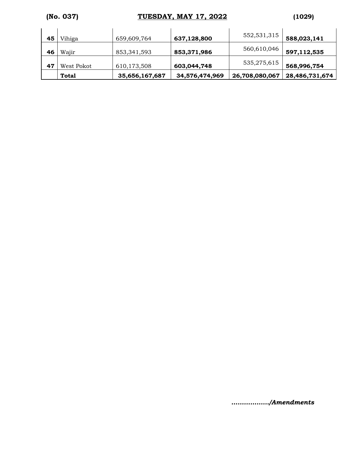# **(No. 037) TUESDAY, MAY 17, 2022 (1029)**

| 45 | Vihiga       | 659,609,764    | 637,128,800    | 552,531,315    | 588,023,141    |
|----|--------------|----------------|----------------|----------------|----------------|
| 46 | Wajir        | 853,341,593    | 853,371,986    | 560,610,046    | 597,112,535    |
| 47 | West Pokot   | 610,173,508    | 603,044,748    | 535,275,615    | 568,996,754    |
|    | <b>Total</b> | 35,656,167,687 | 34,576,474,969 | 26,708,080,067 | 28,486,731,674 |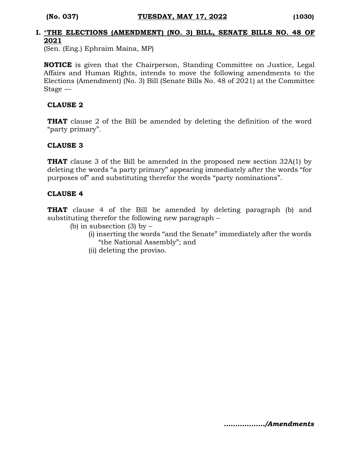#### **I.** \***THE ELECTIONS (AMENDMENT) (NO. 3) BILL, SENATE BILLS NO. 48 OF 2021**

(Sen. (Eng.) Ephraim Maina, MP)

**NOTICE** is given that the Chairperson, Standing Committee on Justice, Legal Affairs and Human Rights, intends to move the following amendments to the Elections (Amendment) (No. 3) Bill (Senate Bills No. 48 of 2021) at the Committee Stage —

#### **CLAUSE 2**

**THAT** clause 2 of the Bill be amended by deleting the definition of the word "party primary".

#### **CLAUSE 3**

**THAT** clause 3 of the Bill be amended in the proposed new section 32A(1) by deleting the words "a party primary" appearing immediately after the words "for purposes of" and substituting therefor the words "party nominations".

#### **CLAUSE 4**

**THAT** clause 4 of the Bill be amended by deleting paragraph (b) and substituting therefor the following new paragraph –

- (b) in subsection  $(3)$  by  $-$ 
	- (i) inserting the words "and the Senate" immediately after the words "the National Assembly"; and
	- (ii) deleting the proviso.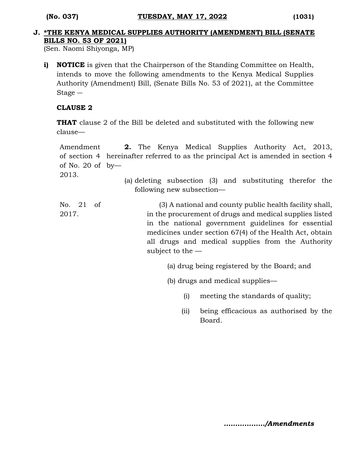#### **J. \*THE KENYA MEDICAL SUPPLIES AUTHORITY (AMENDMENT) BILL (SENATE BILLS NO. 53 OF 2021)**

(Sen. Naomi Shiyonga, MP)

**i) NOTICE** is given that the Chairperson of the Standing Committee on Health, intends to move the following amendments to the Kenya Medical Supplies Authority (Amendment) Bill, (Senate Bills No. 53 of 2021), at the Committee Stage ―

#### **CLAUSE 2**

**THAT** clause 2 of the Bill be deleted and substituted with the following new clause—

```
Amendment 
of section 4 
hereinafter referred to as the principal Act is amended in section 4 
of No. 20 of 
by—
2013.
                  2. The Kenya Medical Supplies Authority Act, 2013,
```
(a) deleting subsection (3) and substituting therefor the following new subsection—

No. 21 of 2017. (3) A national and county public health facility shall, in the procurement of drugs and medical supplies listed in the national government guidelines for essential medicines under section 67(4) of the Health Act, obtain all drugs and medical supplies from the Authority subject to the —

- (a) drug being registered by the Board; and
- (b) drugs and medical supplies—
	- (i) meeting the standards of quality;
	- (ii) being efficacious as authorised by the Board.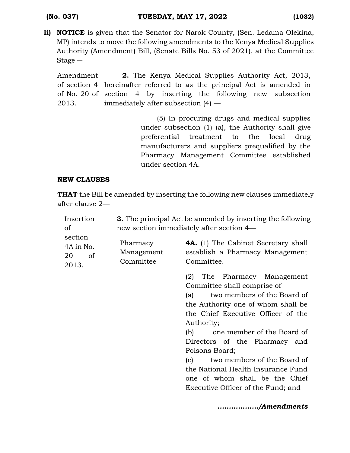**ii) NOTICE** is given that the Senator for Narok County, (Sen. Ledama Olekina, MP) intends to move the following amendments to the Kenya Medical Supplies Authority (Amendment) Bill, (Senate Bills No. 53 of 2021), at the Committee Stage ―

Amendment of section 4 hereinafter referred to as the principal Act is amended in of No. 20 of section 4 by inserting the following new subsection 2013. **2.** The Kenya Medical Supplies Authority Act, 2013, immediately after subsection (4) —

> (5) In procuring drugs and medical supplies under subsection (1) (a), the Authority shall give preferential treatment to the local drug manufacturers and suppliers prequalified by the Pharmacy Management Committee established under section 4A.

#### **NEW CLAUSES**

**THAT** the Bill be amended by inserting the following new clauses immediately after clause 2—

| Insertion                                 | <b>3.</b> The principal Act be amended by inserting the following |                                                                                                                                                                                                                                                                                                                                                                                                                                                        |  |  |  |
|-------------------------------------------|-------------------------------------------------------------------|--------------------------------------------------------------------------------------------------------------------------------------------------------------------------------------------------------------------------------------------------------------------------------------------------------------------------------------------------------------------------------------------------------------------------------------------------------|--|--|--|
| of                                        | new section immediately after section 4—                          |                                                                                                                                                                                                                                                                                                                                                                                                                                                        |  |  |  |
| section<br>4A in No.<br>20<br>of<br>2013. | Pharmacy<br>Management<br>Committee                               | <b>4A.</b> (1) The Cabinet Secretary shall<br>establish a Pharmacy Management<br>Committee.                                                                                                                                                                                                                                                                                                                                                            |  |  |  |
|                                           |                                                                   | The Pharmacy Management<br>(2)<br>Committee shall comprise of $-$<br>two members of the Board of<br>(a)<br>the Authority one of whom shall be<br>the Chief Executive Officer of the<br>Authority;<br>one member of the Board of<br>(b)<br>Directors of the Pharmacy and<br>Poisons Board;<br>two members of the Board of<br>$\mathbf{c}$<br>the National Health Insurance Fund<br>one of whom shall be the Chief<br>Executive Officer of the Fund; and |  |  |  |
|                                           |                                                                   | /Amendments                                                                                                                                                                                                                                                                                                                                                                                                                                            |  |  |  |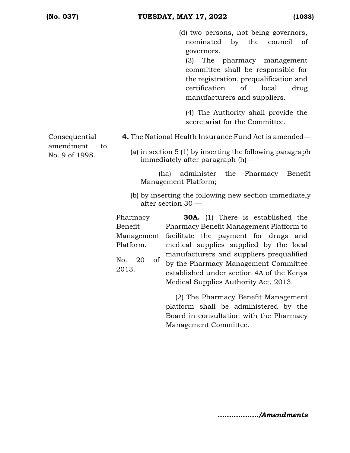(d) two persons, not being governors, nominated by the council of governors.

(3) The pharmacy management committee shall be responsible for the registration, prequalification and certification of local drug manufacturers and suppliers.

(4) The Authority shall provide the secretariat for the Committee.

**4.** The National Health Insurance Fund Act is amended—

Consequential amendment to No. 9 of 1998.

(a) in section 5 (1) by inserting the following paragraph immediately after paragraph (h)—

(ha) administer the Pharmacy Benefit Management Platform;

(b) by inserting the following new section immediately after section 30 —

Pharmacy Benefit Management Platform. No. 20 of

2013.

Pharmacy Benefit Management Platform to facilitate the payment for drugs and medical supplies supplied by the local manufacturers and suppliers prequalified by the Pharmacy Management Committee established under section 4A of the Kenya Medical Supplies Authority Act, 2013.

**30A.** (1) There is established the

(2) The Pharmacy Benefit Management platform shall be administered by the Board in consultation with the Pharmacy Management Committee.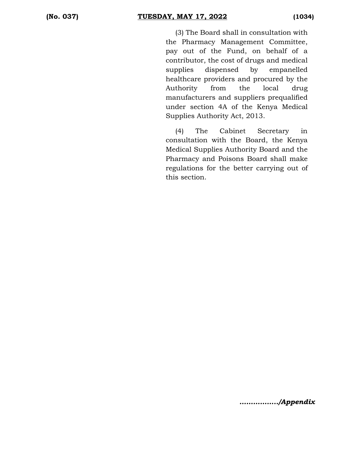(3) The Board shall in consultation with the Pharmacy Management Committee, pay out of the Fund, on behalf of a contributor, the cost of drugs and medical supplies dispensed by empanelled healthcare providers and procured by the Authority from the local drug manufacturers and suppliers prequalified under section 4A of the Kenya Medical Supplies Authority Act, 2013.

(4) The Cabinet Secretary in consultation with the Board, the Kenya Medical Supplies Authority Board and the Pharmacy and Poisons Board shall make regulations for the better carrying out of this section.

*……………../Appendix*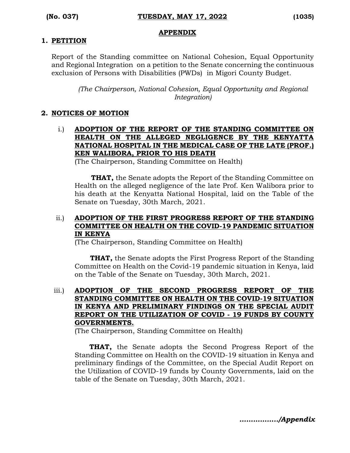#### **APPENDIX**

#### **1. PETITION**

Report of the Standing committee on National Cohesion, Equal Opportunity and Regional Integration on a petition to the Senate concerning the continuous exclusion of Persons with Disabilities (PWDs) in Migori County Budget.

*(The Chairperson, National Cohesion, Equal Opportunity and Regional Integration)*

#### **2. NOTICES OF MOTION**

i.) **ADOPTION OF THE REPORT OF THE STANDING COMMITTEE ON HEALTH ON THE ALLEGED NEGLIGENCE BY THE KENYATTA NATIONAL HOSPITAL IN THE MEDICAL CASE OF THE LATE (PROF.) KEN WALIBORA, PRIOR TO HIS DEATH**

(The Chairperson, Standing Committee on Health)

**THAT,** the Senate adopts the Report of the Standing Committee on Health on the alleged negligence of the late Prof. Ken Walibora prior to his death at the Kenyatta National Hospital, laid on the Table of the Senate on Tuesday, 30th March, 2021.

#### ii.) **ADOPTION OF THE FIRST PROGRESS REPORT OF THE STANDING COMMITTEE ON HEALTH ON THE COVID-19 PANDEMIC SITUATION IN KENYA**

(The Chairperson, Standing Committee on Health)

 **THAT,** the Senate adopts the First Progress Report of the Standing Committee on Health on the Covid-19 pandemic situation in Kenya, laid on the Table of the Senate on Tuesday, 30th March, 2021.

#### iii.) **ADOPTION OF THE SECOND PROGRESS REPORT OF THE STANDING COMMITTEE ON HEALTH ON THE COVID-19 SITUATION IN KENYA AND PRELIMINARY FINDINGS ON THE SPECIAL AUDIT REPORT ON THE UTILIZATION OF COVID - 19 FUNDS BY COUNTY GOVERNMENTS.**

(The Chairperson, Standing Committee on Health)

 **THAT,** the Senate adopts the Second Progress Report of the Standing Committee on Health on the COVID-19 situation in Kenya and preliminary findings of the Committee, on the Special Audit Report on the Utilization of COVID-19 funds by County Governments, laid on the table of the Senate on Tuesday, 30th March, 2021.

*……………../Appendix*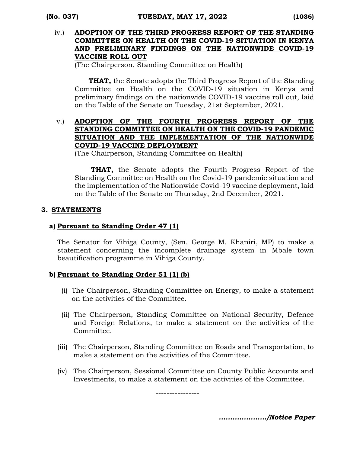#### iv.) **ADOPTION OF THE THIRD PROGRESS REPORT OF THE STANDING COMMITTEE ON HEALTH ON THE COVID-19 SITUATION IN KENYA AND PRELIMINARY FINDINGS ON THE NATIONWIDE COVID-19 VACCINE ROLL OUT**

(The Chairperson, Standing Committee on Health)

**THAT,** the Senate adopts the Third Progress Report of the Standing Committee on Health on the COVID-19 situation in Kenya and preliminary findings on the nationwide COVID-19 vaccine roll out, laid on the Table of the Senate on Tuesday, 21st September, 2021.

#### v.) **ADOPTION OF THE FOURTH PROGRESS REPORT OF THE STANDING COMMITTEE ON HEALTH ON THE COVID-19 PANDEMIC SITUATION AND THE IMPLEMENTATION OF THE NATIONWIDE COVID-19 VACCINE DEPLOYMENT**

(The Chairperson, Standing Committee on Health)

 **THAT,** the Senate adopts the Fourth Progress Report of the Standing Committee on Health on the Covid-19 pandemic situation and the implementation of the Nationwide Covid-19 vaccine deployment, laid on the Table of the Senate on Thursday, 2nd December, 2021.

#### **3. STATEMENTS**

#### **a) Pursuant to Standing Order 47 (1)**

The Senator for Vihiga County, (Sen. George M. Khaniri, MP) to make a statement concerning the incomplete drainage system in Mbale town beautification programme in Vihiga County.

#### **b) Pursuant to Standing Order 51 (1) (b)**

- (i) The Chairperson, Standing Committee on Energy, to make a statement on the activities of the Committee.
- (ii) The Chairperson, Standing Committee on National Security, Defence and Foreign Relations, to make a statement on the activities of the Committee.
- (iii) The Chairperson, Standing Committee on Roads and Transportation, to make a statement on the activities of the Committee.
- (iv) The Chairperson, Sessional Committee on County Public Accounts and Investments, to make a statement on the activities of the Committee.

----------------

*…………………/Notice Paper*